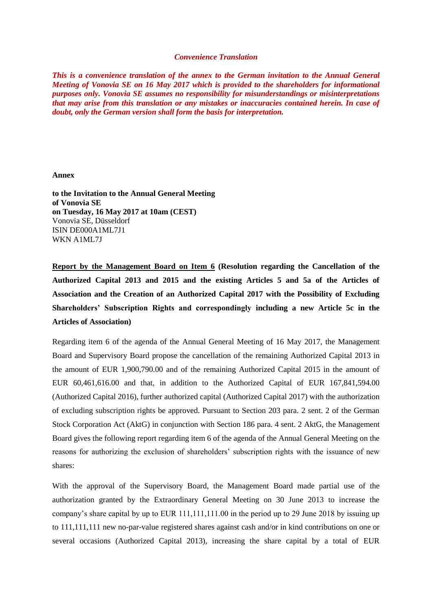## *Convenience Translation*

*This is a convenience translation of the annex to the German invitation to the Annual General Meeting of Vonovia SE on 16 May 2017 which is provided to the shareholders for informational purposes only. Vonovia SE assumes no responsibility for misunderstandings or misinterpretations that may arise from this translation or any mistakes or inaccuracies contained herein. In case of doubt, only the German version shall form the basis for interpretation.*

## **Annex**

**to the Invitation to the Annual General Meeting of Vonovia SE on Tuesday, 16 May 2017 at 10am (CEST)** Vonovia SE, Düsseldorf ISIN DE000A1ML7J1 WKN A1ML7J

**Report by the Management Board on Item 6 (Resolution regarding the Cancellation of the Authorized Capital 2013 and 2015 and the existing Articles 5 and 5a of the Articles of Association and the Creation of an Authorized Capital 2017 with the Possibility of Excluding Shareholders' Subscription Rights and correspondingly including a new Article 5c in the Articles of Association)**

Regarding item 6 of the agenda of the Annual General Meeting of 16 May 2017, the Management Board and Supervisory Board propose the cancellation of the remaining Authorized Capital 2013 in the amount of EUR 1,900,790.00 and of the remaining Authorized Capital 2015 in the amount of EUR 60,461,616.00 and that, in addition to the Authorized Capital of EUR 167,841,594.00 (Authorized Capital 2016), further authorized capital (Authorized Capital 2017) with the authorization of excluding subscription rights be approved. Pursuant to Section 203 para. 2 sent. 2 of the German Stock Corporation Act (AktG) in conjunction with Section 186 para. 4 sent. 2 AktG, the Management Board gives the following report regarding item 6 of the agenda of the Annual General Meeting on the reasons for authorizing the exclusion of shareholders' subscription rights with the issuance of new shares:

With the approval of the Supervisory Board, the Management Board made partial use of the authorization granted by the Extraordinary General Meeting on 30 June 2013 to increase the company's share capital by up to EUR 111,111,111.00 in the period up to 29 June 2018 by issuing up to 111,111,111 new no-par-value registered shares against cash and/or in kind contributions on one or several occasions (Authorized Capital 2013), increasing the share capital by a total of EUR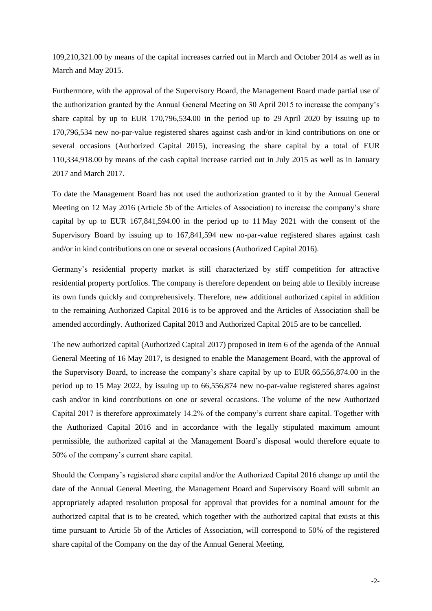109,210,321.00 by means of the capital increases carried out in March and October 2014 as well as in March and May 2015.

Furthermore, with the approval of the Supervisory Board, the Management Board made partial use of the authorization granted by the Annual General Meeting on 30 April 2015 to increase the company's share capital by up to EUR 170,796,534.00 in the period up to 29 April 2020 by issuing up to 170,796,534 new no-par-value registered shares against cash and/or in kind contributions on one or several occasions (Authorized Capital 2015), increasing the share capital by a total of EUR 110,334,918.00 by means of the cash capital increase carried out in July 2015 as well as in January 2017 and March 2017.

To date the Management Board has not used the authorization granted to it by the Annual General Meeting on 12 May 2016 (Article 5b of the Articles of Association) to increase the company's share capital by up to EUR 167,841,594.00 in the period up to 11 May 2021 with the consent of the Supervisory Board by issuing up to 167,841,594 new no-par-value registered shares against cash and/or in kind contributions on one or several occasions (Authorized Capital 2016).

Germany's residential property market is still characterized by stiff competition for attractive residential property portfolios. The company is therefore dependent on being able to flexibly increase its own funds quickly and comprehensively. Therefore, new additional authorized capital in addition to the remaining Authorized Capital 2016 is to be approved and the Articles of Association shall be amended accordingly. Authorized Capital 2013 and Authorized Capital 2015 are to be cancelled.

The new authorized capital (Authorized Capital 2017) proposed in item 6 of the agenda of the Annual General Meeting of 16 May 2017, is designed to enable the Management Board, with the approval of the Supervisory Board, to increase the company's share capital by up to EUR 66,556,874.00 in the period up to 15 May 2022, by issuing up to 66,556,874 new no-par-value registered shares against cash and/or in kind contributions on one or several occasions. The volume of the new Authorized Capital 2017 is therefore approximately 14.2% of the company's current share capital. Together with the Authorized Capital 2016 and in accordance with the legally stipulated maximum amount permissible, the authorized capital at the Management Board's disposal would therefore equate to 50% of the company's current share capital.

Should the Company's registered share capital and/or the Authorized Capital 2016 change up until the date of the Annual General Meeting, the Management Board and Supervisory Board will submit an appropriately adapted resolution proposal for approval that provides for a nominal amount for the authorized capital that is to be created, which together with the authorized capital that exists at this time pursuant to Article 5b of the Articles of Association, will correspond to 50% of the registered share capital of the Company on the day of the Annual General Meeting.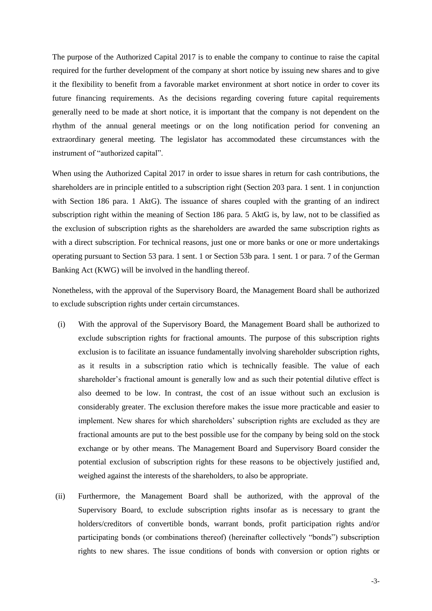The purpose of the Authorized Capital 2017 is to enable the company to continue to raise the capital required for the further development of the company at short notice by issuing new shares and to give it the flexibility to benefit from a favorable market environment at short notice in order to cover its future financing requirements. As the decisions regarding covering future capital requirements generally need to be made at short notice, it is important that the company is not dependent on the rhythm of the annual general meetings or on the long notification period for convening an extraordinary general meeting. The legislator has accommodated these circumstances with the instrument of "authorized capital".

When using the Authorized Capital 2017 in order to issue shares in return for cash contributions, the shareholders are in principle entitled to a subscription right (Section 203 para. 1 sent. 1 in conjunction with Section 186 para. 1 AktG). The issuance of shares coupled with the granting of an indirect subscription right within the meaning of Section 186 para. 5 AktG is, by law, not to be classified as the exclusion of subscription rights as the shareholders are awarded the same subscription rights as with a direct subscription. For technical reasons, just one or more banks or one or more undertakings operating pursuant to Section 53 para. 1 sent. 1 or Section 53b para. 1 sent. 1 or para. 7 of the German Banking Act (KWG) will be involved in the handling thereof.

Nonetheless, with the approval of the Supervisory Board, the Management Board shall be authorized to exclude subscription rights under certain circumstances.

- (i) With the approval of the Supervisory Board, the Management Board shall be authorized to exclude subscription rights for fractional amounts. The purpose of this subscription rights exclusion is to facilitate an issuance fundamentally involving shareholder subscription rights, as it results in a subscription ratio which is technically feasible. The value of each shareholder's fractional amount is generally low and as such their potential dilutive effect is also deemed to be low. In contrast, the cost of an issue without such an exclusion is considerably greater. The exclusion therefore makes the issue more practicable and easier to implement. New shares for which shareholders' subscription rights are excluded as they are fractional amounts are put to the best possible use for the company by being sold on the stock exchange or by other means. The Management Board and Supervisory Board consider the potential exclusion of subscription rights for these reasons to be objectively justified and, weighed against the interests of the shareholders, to also be appropriate.
- (ii) Furthermore, the Management Board shall be authorized, with the approval of the Supervisory Board, to exclude subscription rights insofar as is necessary to grant the holders/creditors of convertible bonds, warrant bonds, profit participation rights and/or participating bonds (or combinations thereof) (hereinafter collectively "bonds") subscription rights to new shares. The issue conditions of bonds with conversion or option rights or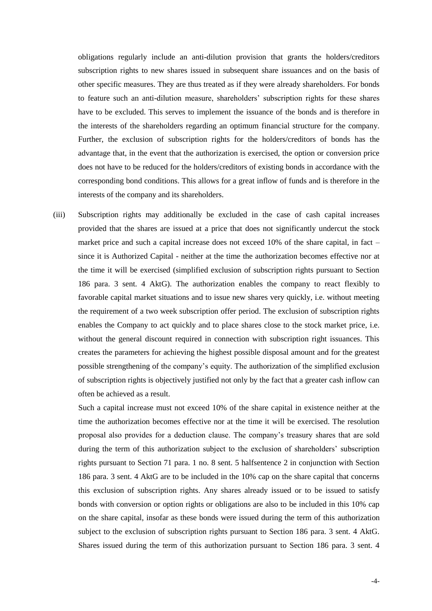obligations regularly include an anti-dilution provision that grants the holders/creditors subscription rights to new shares issued in subsequent share issuances and on the basis of other specific measures. They are thus treated as if they were already shareholders. For bonds to feature such an anti-dilution measure, shareholders' subscription rights for these shares have to be excluded. This serves to implement the issuance of the bonds and is therefore in the interests of the shareholders regarding an optimum financial structure for the company. Further, the exclusion of subscription rights for the holders/creditors of bonds has the advantage that, in the event that the authorization is exercised, the option or conversion price does not have to be reduced for the holders/creditors of existing bonds in accordance with the corresponding bond conditions. This allows for a great inflow of funds and is therefore in the interests of the company and its shareholders.

(iii) Subscription rights may additionally be excluded in the case of cash capital increases provided that the shares are issued at a price that does not significantly undercut the stock market price and such a capital increase does not exceed 10% of the share capital, in fact – since it is Authorized Capital - neither at the time the authorization becomes effective nor at the time it will be exercised (simplified exclusion of subscription rights pursuant to Section 186 para. 3 sent. 4 AktG). The authorization enables the company to react flexibly to favorable capital market situations and to issue new shares very quickly, i.e. without meeting the requirement of a two week subscription offer period. The exclusion of subscription rights enables the Company to act quickly and to place shares close to the stock market price, i.e. without the general discount required in connection with subscription right issuances. This creates the parameters for achieving the highest possible disposal amount and for the greatest possible strengthening of the company's equity. The authorization of the simplified exclusion of subscription rights is objectively justified not only by the fact that a greater cash inflow can often be achieved as a result.

Such a capital increase must not exceed 10% of the share capital in existence neither at the time the authorization becomes effective nor at the time it will be exercised. The resolution proposal also provides for a deduction clause. The company's treasury shares that are sold during the term of this authorization subject to the exclusion of shareholders' subscription rights pursuant to Section 71 para. 1 no. 8 sent. 5 halfsentence 2 in conjunction with Section 186 para. 3 sent. 4 AktG are to be included in the 10% cap on the share capital that concerns this exclusion of subscription rights. Any shares already issued or to be issued to satisfy bonds with conversion or option rights or obligations are also to be included in this 10% cap on the share capital, insofar as these bonds were issued during the term of this authorization subject to the exclusion of subscription rights pursuant to Section 186 para. 3 sent. 4 AktG. Shares issued during the term of this authorization pursuant to Section 186 para. 3 sent. 4

-4-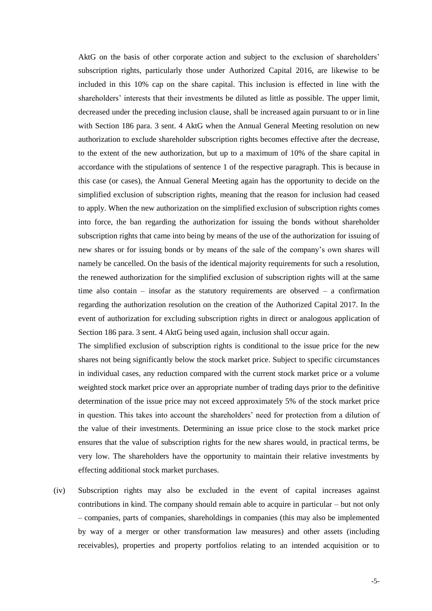AktG on the basis of other corporate action and subject to the exclusion of shareholders' subscription rights, particularly those under Authorized Capital 2016, are likewise to be included in this 10% cap on the share capital. This inclusion is effected in line with the shareholders' interests that their investments be diluted as little as possible. The upper limit, decreased under the preceding inclusion clause, shall be increased again pursuant to or in line with Section 186 para. 3 sent. 4 AktG when the Annual General Meeting resolution on new authorization to exclude shareholder subscription rights becomes effective after the decrease, to the extent of the new authorization, but up to a maximum of 10% of the share capital in accordance with the stipulations of sentence 1 of the respective paragraph. This is because in this case (or cases), the Annual General Meeting again has the opportunity to decide on the simplified exclusion of subscription rights, meaning that the reason for inclusion had ceased to apply. When the new authorization on the simplified exclusion of subscription rights comes into force, the ban regarding the authorization for issuing the bonds without shareholder subscription rights that came into being by means of the use of the authorization for issuing of new shares or for issuing bonds or by means of the sale of the company's own shares will namely be cancelled. On the basis of the identical majority requirements for such a resolution, the renewed authorization for the simplified exclusion of subscription rights will at the same time also contain  $-$  insofar as the statutory requirements are observed  $-$  a confirmation regarding the authorization resolution on the creation of the Authorized Capital 2017. In the event of authorization for excluding subscription rights in direct or analogous application of Section 186 para. 3 sent. 4 AktG being used again, inclusion shall occur again.

The simplified exclusion of subscription rights is conditional to the issue price for the new shares not being significantly below the stock market price. Subject to specific circumstances in individual cases, any reduction compared with the current stock market price or a volume weighted stock market price over an appropriate number of trading days prior to the definitive determination of the issue price may not exceed approximately 5% of the stock market price in question. This takes into account the shareholders' need for protection from a dilution of the value of their investments. Determining an issue price close to the stock market price ensures that the value of subscription rights for the new shares would, in practical terms, be very low. The shareholders have the opportunity to maintain their relative investments by effecting additional stock market purchases.

(iv) Subscription rights may also be excluded in the event of capital increases against contributions in kind. The company should remain able to acquire in particular – but not only – companies, parts of companies, shareholdings in companies (this may also be implemented by way of a merger or other transformation law measures) and other assets (including receivables), properties and property portfolios relating to an intended acquisition or to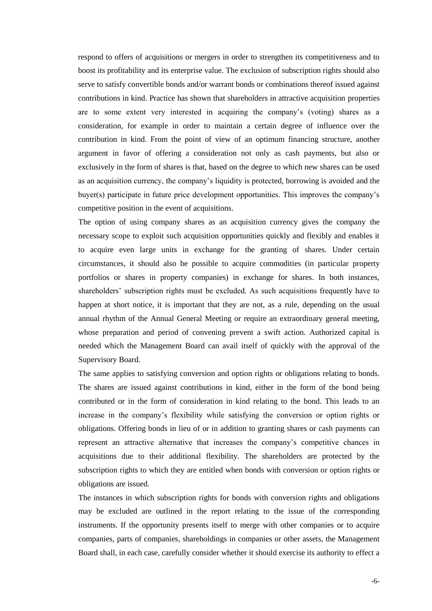respond to offers of acquisitions or mergers in order to strengthen its competitiveness and to boost its profitability and its enterprise value. The exclusion of subscription rights should also serve to satisfy convertible bonds and/or warrant bonds or combinations thereof issued against contributions in kind. Practice has shown that shareholders in attractive acquisition properties are to some extent very interested in acquiring the company's (voting) shares as a consideration, for example in order to maintain a certain degree of influence over the contribution in kind. From the point of view of an optimum financing structure, another argument in favor of offering a consideration not only as cash payments, but also or exclusively in the form of shares is that, based on the degree to which new shares can be used as an acquisition currency, the company's liquidity is protected, borrowing is avoided and the buyer(s) participate in future price development opportunities. This improves the company's competitive position in the event of acquisitions.

The option of using company shares as an acquisition currency gives the company the necessary scope to exploit such acquisition opportunities quickly and flexibly and enables it to acquire even large units in exchange for the granting of shares. Under certain circumstances, it should also be possible to acquire commodities (in particular property portfolios or shares in property companies) in exchange for shares. In both instances, shareholders' subscription rights must be excluded. As such acquisitions frequently have to happen at short notice, it is important that they are not, as a rule, depending on the usual annual rhythm of the Annual General Meeting or require an extraordinary general meeting, whose preparation and period of convening prevent a swift action. Authorized capital is needed which the Management Board can avail itself of quickly with the approval of the Supervisory Board.

The same applies to satisfying conversion and option rights or obligations relating to bonds. The shares are issued against contributions in kind, either in the form of the bond being contributed or in the form of consideration in kind relating to the bond. This leads to an increase in the company's flexibility while satisfying the conversion or option rights or obligations. Offering bonds in lieu of or in addition to granting shares or cash payments can represent an attractive alternative that increases the company's competitive chances in acquisitions due to their additional flexibility. The shareholders are protected by the subscription rights to which they are entitled when bonds with conversion or option rights or obligations are issued.

The instances in which subscription rights for bonds with conversion rights and obligations may be excluded are outlined in the report relating to the issue of the corresponding instruments. If the opportunity presents itself to merge with other companies or to acquire companies, parts of companies, shareholdings in companies or other assets, the Management Board shall, in each case, carefully consider whether it should exercise its authority to effect a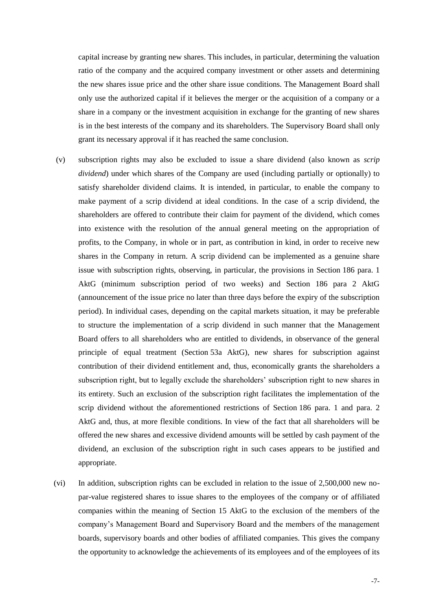capital increase by granting new shares. This includes, in particular, determining the valuation ratio of the company and the acquired company investment or other assets and determining the new shares issue price and the other share issue conditions. The Management Board shall only use the authorized capital if it believes the merger or the acquisition of a company or a share in a company or the investment acquisition in exchange for the granting of new shares is in the best interests of the company and its shareholders. The Supervisory Board shall only grant its necessary approval if it has reached the same conclusion.

- (v) subscription rights may also be excluded to issue a share dividend (also known as *scrip dividend*) under which shares of the Company are used (including partially or optionally) to satisfy shareholder dividend claims. It is intended, in particular, to enable the company to make payment of a scrip dividend at ideal conditions. In the case of a scrip dividend, the shareholders are offered to contribute their claim for payment of the dividend, which comes into existence with the resolution of the annual general meeting on the appropriation of profits, to the Company, in whole or in part, as contribution in kind, in order to receive new shares in the Company in return. A scrip dividend can be implemented as a genuine share issue with subscription rights, observing, in particular, the provisions in Section 186 para. 1 AktG (minimum subscription period of two weeks) and Section 186 para 2 AktG (announcement of the issue price no later than three days before the expiry of the subscription period). In individual cases, depending on the capital markets situation, it may be preferable to structure the implementation of a scrip dividend in such manner that the Management Board offers to all shareholders who are entitled to dividends, in observance of the general principle of equal treatment (Section 53a AktG), new shares for subscription against contribution of their dividend entitlement and, thus, economically grants the shareholders a subscription right, but to legally exclude the shareholders' subscription right to new shares in its entirety. Such an exclusion of the subscription right facilitates the implementation of the scrip dividend without the aforementioned restrictions of Section 186 para. 1 and para. 2 AktG and, thus, at more flexible conditions. In view of the fact that all shareholders will be offered the new shares and excessive dividend amounts will be settled by cash payment of the dividend, an exclusion of the subscription right in such cases appears to be justified and appropriate.
- (vi) In addition, subscription rights can be excluded in relation to the issue of 2,500,000 new nopar-value registered shares to issue shares to the employees of the company or of affiliated companies within the meaning of Section 15 AktG to the exclusion of the members of the company's Management Board and Supervisory Board and the members of the management boards, supervisory boards and other bodies of affiliated companies. This gives the company the opportunity to acknowledge the achievements of its employees and of the employees of its